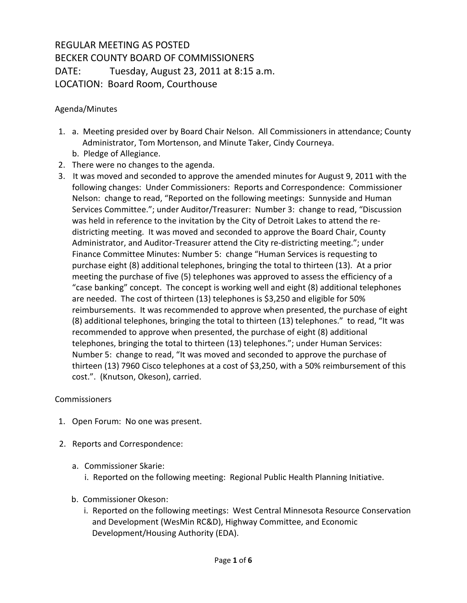## REGULAR MEETING AS POSTED BECKER COUNTY BOARD OF COMMISSIONERS DATE: Tuesday, August 23, 2011 at 8:15 a.m. LOCATION: Board Room, Courthouse

## Agenda/Minutes

- 1. a. Meeting presided over by Board Chair Nelson. All Commissioners in attendance; County Administrator, Tom Mortenson, and Minute Taker, Cindy Courneya. b. Pledge of Allegiance.
- 2. There were no changes to the agenda.
- 3. It was moved and seconded to approve the amended minutes for August 9, 2011 with the following changes: Under Commissioners: Reports and Correspondence: Commissioner Nelson: change to read, "Reported on the following meetings: Sunnyside and Human Services Committee."; under Auditor/Treasurer: Number 3: change to read, "Discussion was held in reference to the invitation by the City of Detroit Lakes to attend the redistricting meeting. It was moved and seconded to approve the Board Chair, County Administrator, and Auditor-Treasurer attend the City re-districting meeting."; under Finance Committee Minutes: Number 5: change "Human Services is requesting to purchase eight (8) additional telephones, bringing the total to thirteen (13). At a prior meeting the purchase of five (5) telephones was approved to assess the efficiency of a "case banking" concept. The concept is working well and eight (8) additional telephones are needed. The cost of thirteen (13) telephones is \$3,250 and eligible for 50% reimbursements. It was recommended to approve when presented, the purchase of eight (8) additional telephones, bringing the total to thirteen (13) telephones." to read, "It was recommended to approve when presented, the purchase of eight (8) additional telephones, bringing the total to thirteen (13) telephones."; under Human Services: Number 5: change to read, "It was moved and seconded to approve the purchase of thirteen (13) 7960 Cisco telephones at a cost of \$3,250, with a 50% reimbursement of this cost.". (Knutson, Okeson), carried.

## Commissioners

- 1. Open Forum: No one was present.
- 2. Reports and Correspondence:
	- a. Commissioner Skarie:
		- i. Reported on the following meeting: Regional Public Health Planning Initiative.
	- b. Commissioner Okeson:
		- i. Reported on the following meetings: West Central Minnesota Resource Conservation and Development (WesMin RC&D), Highway Committee, and Economic Development/Housing Authority (EDA).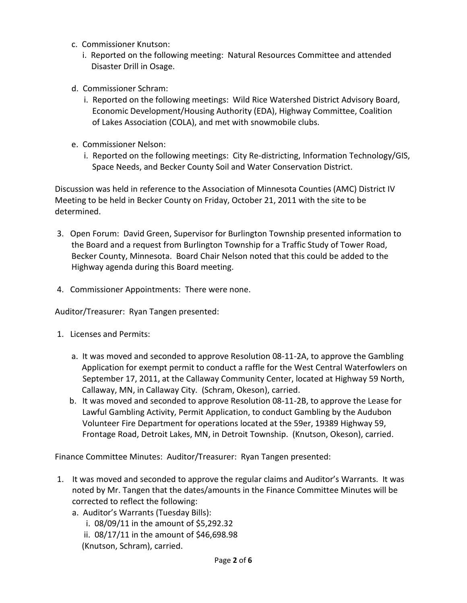- c. Commissioner Knutson:
	- i. Reported on the following meeting: Natural Resources Committee and attended Disaster Drill in Osage.
- d. Commissioner Schram:
	- i. Reported on the following meetings: Wild Rice Watershed District Advisory Board, Economic Development/Housing Authority (EDA), Highway Committee, Coalition of Lakes Association (COLA), and met with snowmobile clubs.
- e. Commissioner Nelson:
	- i. Reported on the following meetings: City Re-districting, Information Technology/GIS, Space Needs, and Becker County Soil and Water Conservation District.

Discussion was held in reference to the Association of Minnesota Counties (AMC) District IV Meeting to be held in Becker County on Friday, October 21, 2011 with the site to be determined.

- 3. Open Forum: David Green, Supervisor for Burlington Township presented information to the Board and a request from Burlington Township for a Traffic Study of Tower Road, Becker County, Minnesota. Board Chair Nelson noted that this could be added to the Highway agenda during this Board meeting.
- 4. Commissioner Appointments:There were none.

Auditor/Treasurer: Ryan Tangen presented:

- 1. Licenses and Permits:
	- a. It was moved and seconded to approve Resolution 08-11-2A, to approve the Gambling Application for exempt permit to conduct a raffle for the West Central Waterfowlers on September 17, 2011, at the Callaway Community Center, located at Highway 59 North, Callaway, MN, in Callaway City. (Schram, Okeson), carried.
	- b. It was moved and seconded to approve Resolution 08-11-2B, to approve the Lease for Lawful Gambling Activity, Permit Application, to conduct Gambling by the Audubon Volunteer Fire Department for operations located at the 59er, 19389 Highway 59, Frontage Road, Detroit Lakes, MN, in Detroit Township. (Knutson, Okeson), carried.

Finance Committee Minutes: Auditor/Treasurer: Ryan Tangen presented:

- 1. It was moved and seconded to approve the regular claims and Auditor's Warrants. It was noted by Mr. Tangen that the dates/amounts in the Finance Committee Minutes will be corrected to reflect the following:
	- a. Auditor's Warrants (Tuesday Bills):
		- i. 08/09/11 in the amount of \$5,292.32
		- ii. 08/17/11 in the amount of \$46,698.98
		- (Knutson, Schram), carried.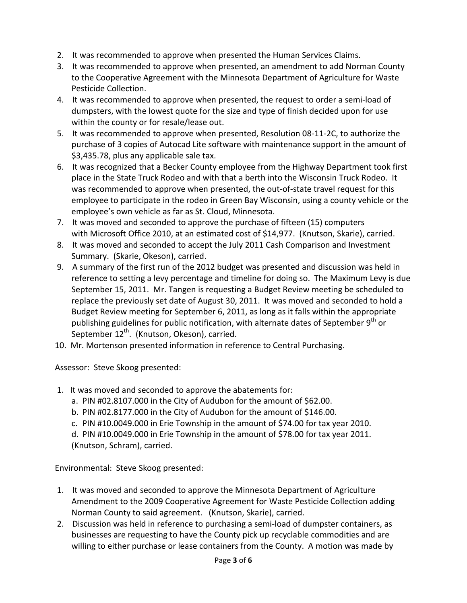- 2. It was recommended to approve when presented the Human Services Claims.
- 3. It was recommended to approve when presented, an amendment to add Norman County to the Cooperative Agreement with the Minnesota Department of Agriculture for Waste Pesticide Collection.
- 4. It was recommended to approve when presented, the request to order a semi-load of dumpsters, with the lowest quote for the size and type of finish decided upon for use within the county or for resale/lease out.
- 5. It was recommended to approve when presented, Resolution 08-11-2C, to authorize the purchase of 3 copies of Autocad Lite software with maintenance support in the amount of \$3,435.78, plus any applicable sale tax.
- 6. It was recognized that a Becker County employee from the Highway Department took first place in the State Truck Rodeo and with that a berth into the Wisconsin Truck Rodeo. It was recommended to approve when presented, the out-of-state travel request for this employee to participate in the rodeo in Green Bay Wisconsin, using a county vehicle or the employee's own vehicle as far as St. Cloud, Minnesota.
- 7. It was moved and seconded to approve the purchase of fifteen (15) computers with Microsoft Office 2010, at an estimated cost of \$14,977. (Knutson, Skarie), carried.
- 8. It was moved and seconded to accept the July 2011 Cash Comparison and Investment Summary. (Skarie, Okeson), carried.
- 9. A summary of the first run of the 2012 budget was presented and discussion was held in reference to setting a levy percentage and timeline for doing so. The Maximum Levy is due September 15, 2011. Mr. Tangen is requesting a Budget Review meeting be scheduled to replace the previously set date of August 30, 2011. It was moved and seconded to hold a Budget Review meeting for September 6, 2011, as long as it falls within the appropriate publishing guidelines for public notification, with alternate dates of September  $9^{th}$  or September  $12^{th}$ . (Knutson, Okeson), carried.
- 10. Mr. Mortenson presented information in reference to Central Purchasing.

Assessor: Steve Skoog presented:

- 1. It was moved and seconded to approve the abatements for:
	- a. PIN #02.8107.000 in the City of Audubon for the amount of \$62.00.
	- b. PIN #02.8177.000 in the City of Audubon for the amount of \$146.00.
	- c. PIN #10.0049.000 in Erie Township in the amount of \$74.00 for tax year 2010.

 d. PIN #10.0049.000 in Erie Township in the amount of \$78.00 for tax year 2011. (Knutson, Schram), carried.

Environmental: Steve Skoog presented:

- 1. It was moved and seconded to approve the Minnesota Department of Agriculture Amendment to the 2009 Cooperative Agreement for Waste Pesticide Collection adding Norman County to said agreement. (Knutson, Skarie), carried.
- 2. Discussion was held in reference to purchasing a semi-load of dumpster containers, as businesses are requesting to have the County pick up recyclable commodities and are willing to either purchase or lease containers from the County. A motion was made by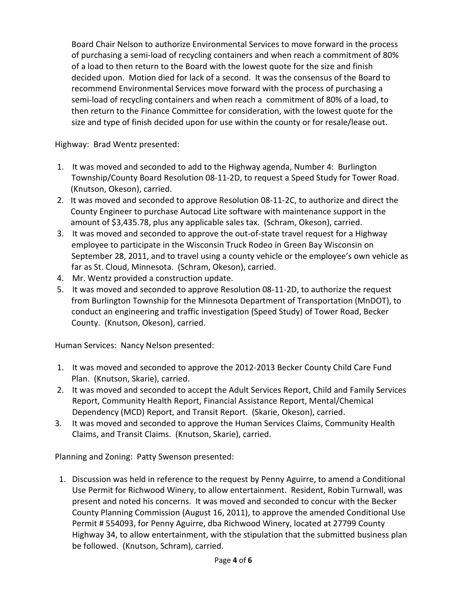Board Chair Nelson to authorize Environmental Services to move forward in the process of purchasing a semi-load of recycling containers and when reach a commitment of 80% of a load to then return to the Board with the lowest quote for the size and finish decided upon. Motion died for lack of a second. It was the consensus of the Board to recommend Environmental Services move forward with the process of purchasing a semi-load of recycling containers and when reach a commitment of 80% of a load, to then return to the Finance Committee for consideration, with the lowest quote for the size and type of finish decided upon for use within the county or for resale/lease out.

Highway: Brad Wentz presented:

- 1. It was moved and seconded to add to the Highway agenda, Number 4: Burlington Township/County Board Resolution 08-11-2D, to request a Speed Study for Tower Road. (Knutson, Okeson), carried.
- 2. It was moved and seconded to approve Resolution 08-11-2C, to authorize and direct the County Engineer to purchase Autocad Lite software with maintenance support in the amount of \$3,435.78, plus any applicable sales tax. (Schram, Okeson), carried.
- 3. It was moved and seconded to approve the out-of-state travel request for a Highway employee to participate in the Wisconsin Truck Rodeo in Green Bay Wisconsin on September 28, 2011, and to travel using a county vehicle or the employee's own vehicle as far as St. Cloud, Minnesota. (Schram, Okeson), carried.
- 4. Mr. Wentz provided a construction update.
- 5. It was moved and seconded to approve Resolution 08-11-2D, to authorize the request from Burlington Township for the Minnesota Department of Transportation (MnDOT), to conduct an engineering and traffic investigation (Speed Study) of Tower Road, Becker County. (Knutson, Okeson), carried.

Human Services: Nancy Nelson presented:

- 1. It was moved and seconded to approve the 2012-2013 Becker County Child Care Fund Plan. (Knutson, Skarie), carried.
- 2. It was moved and seconded to accept the Adult Services Report, Child and Family Services Report, Community Health Report, Financial Assistance Report, Mental/Chemical Dependency (MCD) Report, and Transit Report. (Skarie, Okeson), carried.
- 3. It was moved and seconded to approve the Human Services Claims, Community Health Claims, and Transit Claims. (Knutson, Skarie), carried.

Planning and Zoning: Patty Swenson presented:

 1. Discussion was held in reference to the request by Penny Aguirre, to amend a Conditional Use Permit for Richwood Winery, to allow entertainment. Resident, Robin Turnwall, was present and noted his concerns. It was moved and seconded to concur with the Becker County Planning Commission (August 16, 2011), to approve the amended Conditional Use Permit # 554093, for Penny Aguirre, dba Richwood Winery, located at 27799 County Highway 34, to allow entertainment, with the stipulation that the submitted business plan be followed. (Knutson, Schram), carried.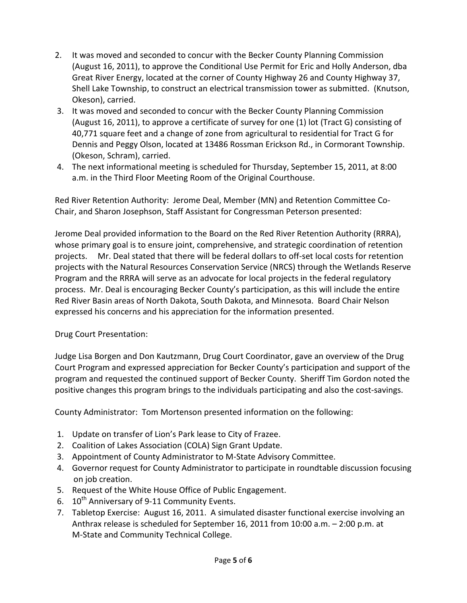- 2. It was moved and seconded to concur with the Becker County Planning Commission (August 16, 2011), to approve the Conditional Use Permit for Eric and Holly Anderson, dba Great River Energy, located at the corner of County Highway 26 and County Highway 37, Shell Lake Township, to construct an electrical transmission tower as submitted. (Knutson, Okeson), carried.
- 3. It was moved and seconded to concur with the Becker County Planning Commission (August 16, 2011), to approve a certificate of survey for one (1) lot (Tract G) consisting of 40,771 square feet and a change of zone from agricultural to residential for Tract G for Dennis and Peggy Olson, located at 13486 Rossman Erickson Rd., in Cormorant Township. (Okeson, Schram), carried.
- 4. The next informational meeting is scheduled for Thursday, September 15, 2011, at 8:00 a.m. in the Third Floor Meeting Room of the Original Courthouse.

Red River Retention Authority: Jerome Deal, Member (MN) and Retention Committee Co-Chair, and Sharon Josephson, Staff Assistant for Congressman Peterson presented:

Jerome Deal provided information to the Board on the Red River Retention Authority (RRRA), whose primary goal is to ensure joint, comprehensive, and strategic coordination of retention projects. Mr. Deal stated that there will be federal dollars to off-set local costs for retention projects with the Natural Resources Conservation Service (NRCS) through the Wetlands Reserve Program and the RRRA will serve as an advocate for local projects in the federal regulatory process. Mr. Deal is encouraging Becker County's participation, as this will include the entire Red River Basin areas of North Dakota, South Dakota, and Minnesota. Board Chair Nelson expressed his concerns and his appreciation for the information presented.

Drug Court Presentation:

Judge Lisa Borgen and Don Kautzmann, Drug Court Coordinator, gave an overview of the Drug Court Program and expressed appreciation for Becker County's participation and support of the program and requested the continued support of Becker County. Sheriff Tim Gordon noted the positive changes this program brings to the individuals participating and also the cost-savings.

County Administrator: Tom Mortenson presented information on the following:

- 1. Update on transfer of Lion's Park lease to City of Frazee.
- 2. Coalition of Lakes Association (COLA) Sign Grant Update.
- 3. Appointment of County Administrator to M-State Advisory Committee.
- 4. Governor request for County Administrator to participate in roundtable discussion focusing on job creation.
- 5. Request of the White House Office of Public Engagement.
- 6.  $10^{th}$  Anniversary of 9-11 Community Events.
- 7. Tabletop Exercise: August 16, 2011. A simulated disaster functional exercise involving an Anthrax release is scheduled for September 16, 2011 from 10:00 a.m. – 2:00 p.m. at M-State and Community Technical College.